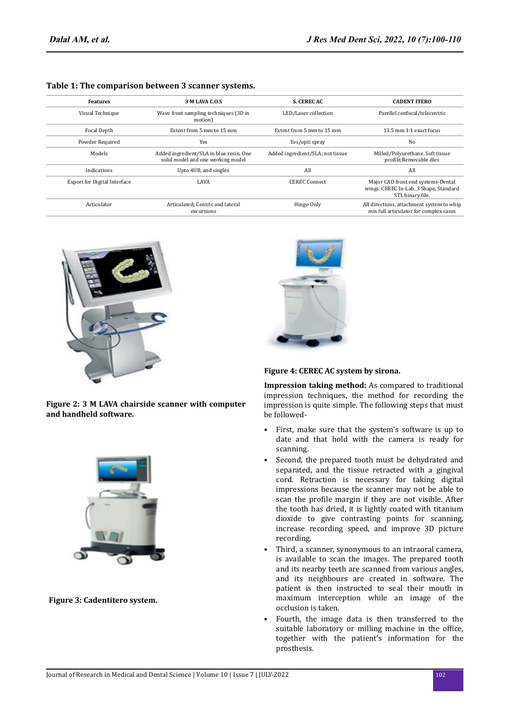| <b>Features</b>                     | 3 M LAVA C.O.S                                                               | <b>S. CEREC AC</b>               | <b>CADENT ITERO</b>                                                                              |
|-------------------------------------|------------------------------------------------------------------------------|----------------------------------|--------------------------------------------------------------------------------------------------|
| Visual Technique                    | Wave front sampling techniques (3D in<br>motion)                             | LED/Laser collection             | Parellel confocal/telecentric                                                                    |
| Focal Depth                         | Extent from 5 mm to 15 mm                                                    | Extent from 5 mm to 15 mm        | 13.5 mm 1:1 exact focus                                                                          |
| Powder Required                     | Yes                                                                          | Yes/opti spray                   | No                                                                                               |
| Models                              | Added ingredient/SLA in blue resin. One<br>solid model and one working model | Added ingredient/SLA; not tissue | Milled/Polyurethane. Soft tissue<br>profile, Removable dies                                      |
| Indications                         | Upto 4UB, and singles                                                        | All                              | All                                                                                              |
| <b>Export for Digital Interface</b> | LAVA                                                                         | <b>CEREC Connect</b>             | Major CAD front end systems-Dental<br>wings, CEREC In-Lab, 3 Shape, Standard<br>STL binary file. |
| Articulator                         | Articulated: Centric and lateral<br>excursions                               | Hinge-Only                       | All directions, attachment system to whip<br>mix full articulator for complex cases              |

### **Table 1: The comparison between 3 scanner systems.**







**Figure 3: Cadentitero system.**



### **Figure 4: CEREC AC system by sirona.**

**Impression taking method:** As compared to traditional impression techniques, the method for recording the impression is quite simple. The following steps that must be followed-

- First, make sure that the system's software is up to date and that hold with the camera is ready for scanning.
- Second, the prepared tooth must be dehydrated and separated, and the tissue retracted with a gingival cord. Retraction is necessary for taking digital impressions because the scanner may not be able to scan the profile margin if they are not visible. After the tooth has dried, it is lightly coated with titanium dioxide to give contrasting points for scanning, increase recording speed, and improve 3D picture recording.
- Third, a scanner, synonymous to an intraoral camera, is available to scan the images. The prepared tooth and its nearby teeth are scanned from various angles, and its neighbours are created in software. The patient is then instructed to seal their mouth in maximum interception while an image of the occlusion is taken.
- Fourth, the image data is then transferred to the suitable laboratory or milling machine in the office, together with the patient's information for the prosthesis.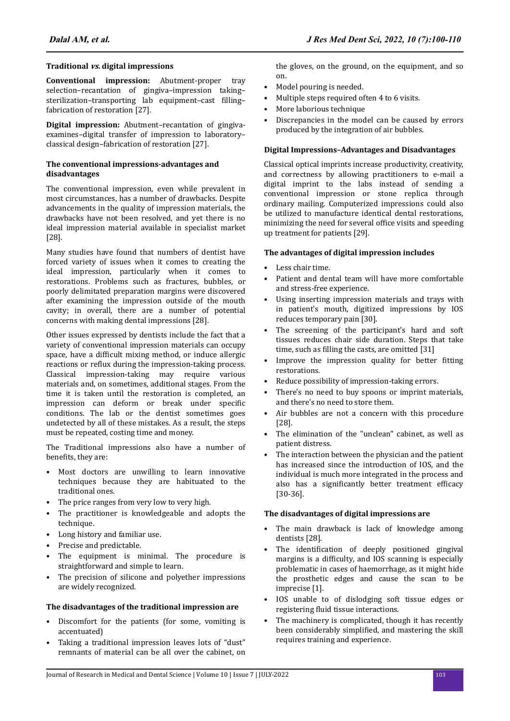# **Traditional vs. digital impressions**

**Conventional impression:** Abutment-proper tray selection–recantation of gingiva–impression taking– sterilization–transporting lab equipment–cast filling– fabrication of restoration [27].

**Digital impression:** Abutment–recantation of gingivaexamines–digital transfer of impression to laboratory– classical design–fabrication of restoration [27].

### **The conventional impressions-advantages and disadvantages**

The conventional impression, even while prevalent in most circumstances, has a number of drawbacks. Despite advancements in the quality of impression materials, the drawbacks have not been resolved, and yet there is no ideal impression material available in specialist market [28].

Many studies have found that numbers of dentist have forced variety of issues when it comes to creating the ideal impression, particularly when it comes to restorations. Problems such as fractures, bubbles, or poorly delimitated preparation margins were discovered after examining the impression outside of the mouth cavity; in overall, there are a number of potential concerns with making dental impressions [28].

Other issues expressed by dentists include the fact that a variety of conventional impression materials can occupy space, have a difficult mixing method, or induce allergic reactions or reflux during the impression-taking process. Classical impression-taking may require various materials and, on sometimes, additional stages. From the time it is taken until the restoration is completed, an impression can deform or break under specific conditions. The lab or the dentist sometimes goes undetected by all of these mistakes. As a result, the steps must be repeated, costing time and money.

The Traditional impressions also have a number of benefits, they are:

- Most doctors are unwilling to learn innovative techniques because they are habituated to the traditional ones.
- The price ranges from very low to very high.
- The practitioner is knowledgeable and adopts the technique.
- Long history and familiar use.
- Precise and predictable.
- The equipment is minimal. The procedure is straightforward and simple to learn.
- The precision of silicone and polyether impressions are widely recognized.

# **The disadvantages of the traditional impression are**

- Discomfort for the patients (for some, vomiting is accentuated)
- Taking a traditional impression leaves lots of "dust" remnants of material can be all over the cabinet, on

the gloves, on the ground, on the equipment, and so on.

- Model pouring is needed.
- Multiple steps required often 4 to 6 visits.
- More laborious technique
- Discrepancies in the model can be caused by errors produced by the integration of air bubbles.

# **Digital Impressions–Advantages and Disadvantages**

Classical optical imprints increase productivity, creativity, and correctness by allowing practitioners to e-mail a digital imprint to the labs instead of sending a conventional impression or stone replica through ordinary mailing. Computerized impressions could also be utilized to manufacture identical dental restorations, minimizing the need for several office visits and speeding up treatment for patients [29].

# **The advantages of digital impression includes**

- Less chair time.
- Patient and dental team will have more comfortable and stress-free experience.
- Using inserting impression materials and trays with in patient's mouth, digitized impressions by IOS reduces temporary pain [30].
- The screening of the participant's hard and soft tissues reduces chair side duration. Steps that take time, such as filling the casts, are omitted [31]
- Improve the impression quality for better fitting restorations.
- Reduce possibility of impression-taking errors.
- There's no need to buy spoons or imprint materials. and there's no need to store them.
- Air bubbles are not a concern with this procedure [28].
- The elimination of the "unclean" cabinet, as well as patient distress.
- The interaction between the physician and the patient has increased since the introduction of IOS, and the individual is much more integrated in the process and also has a significantly better treatment efficacy [30-36].

# **The disadvantages of digital impressions are**

- The main drawback is lack of knowledge among dentists [28].
- The identification of deeply positioned gingival margins is a difficulty, and IOS scanning is especially problematic in cases of haemorrhage, as it might hide the prosthetic edges and cause the scan to be imprecise [1].
- IOS unable to of dislodging soft tissue edges or registering fluid tissue interactions.
- The machinery is complicated, though it has recently been considerably simplified, and mastering the skill requires training and experience.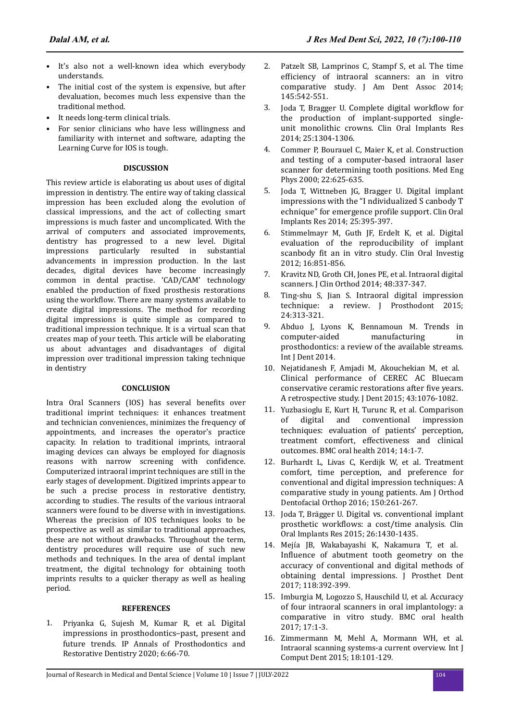- It's also not a well-known idea which everybody understands.
- The initial cost of the system is expensive, but after devaluation, becomes much less expensive than the traditional method.
- It needs long-term clinical trials.
- For senior clinicians who have less willingness and familiarity with internet and software, adapting the Learning Curve for IOS is tough.

### **DISCUSSION**

This review article is elaborating us about uses of digital impression in dentistry. The entire way of taking classical impression has been excluded along the evolution of classical impressions, and the act of collecting smart impressions is much faster and uncomplicated. With the arrival of computers and associated improvements, dentistry has progressed to a new level. Digital impressions particularly resulted in substantial advancements in impression production. In the last decades, digital devices have become increasingly common in dental practise. 'CAD/CAM' technology enabled the production of fixed prosthesis restorations using the workflow. There are many systems available to create digital impressions. The method for recording digital impressions is quite simple as compared to traditional impression technique. It is a virtual scan that creates map of your teeth. This article will be elaborating us about advantages and disadvantages of digital impression over traditional impression taking technique in dentistry

# **CONCLUSION**

Intra Oral Scanners (IOS) has several benefits over traditional imprint techniques: it enhances treatment and technician conveniences, minimizes the frequency of appointments, and increases the operator's practice capacity. In relation to traditional imprints, intraoral imaging devices can always be employed for diagnosis reasons with narrow screening with confidence. Computerized intraoral imprint techniques are still in the early stages of development. Digitized imprints appear to be such a precise process in restorative dentistry, according to studies. The results of the various intraoral scanners were found to be diverse with in investigations. Whereas the precision of IOS techniques looks to be prospective as well as similar to traditional approaches, these are not without drawbacks. Throughout the term, dentistry procedures will require use of such new methods and techniques. In the area of dental implant treatment, the digital technology for obtaining tooth imprints results to a quicker therapy as well as healing period.

# **REFERENCES**

1. Priyanka G, Sujesh M, Kumar R, et al. [Digital](https://www.semanticscholar.org/paper/Digital-impressions-in-prosthodontics-%E2%80%93-past%2C-and-Priyanka-Sujesh/2cd07c762111db4621a63e5cde6aeaf19e20b7d7?p2df) [impressions in prosthodontics–past, present and](https://www.semanticscholar.org/paper/Digital-impressions-in-prosthodontics-%E2%80%93-past%2C-and-Priyanka-Sujesh/2cd07c762111db4621a63e5cde6aeaf19e20b7d7?p2df) [future trends](https://www.semanticscholar.org/paper/Digital-impressions-in-prosthodontics-%E2%80%93-past%2C-and-Priyanka-Sujesh/2cd07c762111db4621a63e5cde6aeaf19e20b7d7?p2df). IP Annals of Prosthodontics and Restorative Dentistry 2020; 6:66-70.

- 2. Patzelt SB, Lamprinos C, Stampf S, et al. [The time](https://www.sciencedirect.com/science/article/abs/pii/S0002817714601136?via%3Dihub) efficiency [of intraoral scanners: an in vitro](https://www.sciencedirect.com/science/article/abs/pii/S0002817714601136?via%3Dihub) [comparative study](https://www.sciencedirect.com/science/article/abs/pii/S0002817714601136?via%3Dihub). J Am Dent Assoc 2014; 145:542-551.
- 3. Joda T, Bragger U. [Complete digital](https://onlinelibrary.wiley.com/doi/10.1111/clr.12270) workflow for [the production of implant-supported single](https://onlinelibrary.wiley.com/doi/10.1111/clr.12270)[unit monolithic crowns](https://onlinelibrary.wiley.com/doi/10.1111/clr.12270). Clin Oral Implants Res 2014; 25:1304-1306.
- 4. Commer P, Bourauel C, Maier K, et al. [Construction](https://www.sciencedirect.com/science/article/abs/pii/S135045330000076X?via%3Dihub) [and testing of a computer-based intraoral laser](https://www.sciencedirect.com/science/article/abs/pii/S135045330000076X?via%3Dihub) [scanner for determining tooth positions](https://www.sciencedirect.com/science/article/abs/pii/S135045330000076X?via%3Dihub). Med Eng Phys 2000; 22:625-635.
- 5. Joda T, Wittneben JG, Bragger U. [Digital implant](https://onlinelibrary.wiley.com/doi/10.1111/clr.12099) [impressions with the "I ndividualized S canbody T](https://onlinelibrary.wiley.com/doi/10.1111/clr.12099) [echnique" for emergence](https://onlinelibrary.wiley.com/doi/10.1111/clr.12099) profile support. Clin Oral Implants Res 2014; 25:395-397.
- 6. Stimmelmayr M, Guth JF, Erdelt K, et al. [Digital](https://link.springer.com/article/10.1007/s00784-011-0564-5) [evaluation of the reproducibility of implant](https://link.springer.com/article/10.1007/s00784-011-0564-5) scanbody fit [an in vitro study](https://link.springer.com/article/10.1007/s00784-011-0564-5). Clin Oral Investig 2012; 16:851-856.
- 7. Kravitz ND, Groth CH, Jones PE, et al. Intraoral digital scanners. J Clin Orthod 2014; 48:337-347.
- 8. Ting-shu S, Jian S. [Intraoral digital impression](https://onlinelibrary.wiley.com/doi/10.1111/jopr.12218) [technique: a review](https://onlinelibrary.wiley.com/doi/10.1111/jopr.12218). J Prosthodont 2015; 24:313-321.
- 9. Abduo J, Lyons K, Bennamoun M. [Trends in](https://www.hindawi.com/journals/ijd/2014/783948/) [computer-aided manufacturing in](https://www.hindawi.com/journals/ijd/2014/783948/) [prosthodontics: a review of the available streams](https://www.hindawi.com/journals/ijd/2014/783948/). Int J Dent 2014.
- 10. Nejatidanesh F, Amjadi M, Akouchekian M, et al. [Clinical performance of CEREC AC Bluecam](https://linkinghub.elsevier.com/retrieve/pii/S0300571215300130) [conservative ceramic restorations after](https://linkinghub.elsevier.com/retrieve/pii/S0300571215300130) five years. [A retrospective study.](https://linkinghub.elsevier.com/retrieve/pii/S0300571215300130) J Dent 2015; 43:1076-1082.
- 11. Yuzbasioglu E, Kurt H, Turunc R, et al. [Comparison](https://bmcoralhealth.biomedcentral.com/articles/10.1186/1472-6831-14-10) [of digital and conventional impression](https://bmcoralhealth.biomedcentral.com/articles/10.1186/1472-6831-14-10) [techniques: evaluation of patients' perception,](https://bmcoralhealth.biomedcentral.com/articles/10.1186/1472-6831-14-10) [treatment comfort, effectiveness and clinical](https://bmcoralhealth.biomedcentral.com/articles/10.1186/1472-6831-14-10) [outcomes](https://bmcoralhealth.biomedcentral.com/articles/10.1186/1472-6831-14-10). BMC oral health 2014; 14:1-7.
- 12. Burhardt L, Livas C, Kerdijk W, et al. [Treatment](https://linkinghub.elsevier.com/retrieve/pii/S0889540616300622) [comfort, time perception, and preference for](https://linkinghub.elsevier.com/retrieve/pii/S0889540616300622) [conventional and digital impression techniques: A](https://linkinghub.elsevier.com/retrieve/pii/S0889540616300622) [comparative study in young patients](https://linkinghub.elsevier.com/retrieve/pii/S0889540616300622). Am J Orthod Dentofacial Orthop 2016; 150:261-267.
- 13. Joda T, Brägger U. [Digital vs. conventional implant](https://onlinelibrary.wiley.com/doi/10.1111/clr.12476) prosthetic workflows: [a cost/time analysis](https://onlinelibrary.wiley.com/doi/10.1111/clr.12476). Clin Oral Implants Res 2015; 26:1430-1435.
- 14. Mejía JB, Wakabayashi K, Nakamura T, et al. Influence [of abutment tooth geometry on the](https://linkinghub.elsevier.com/retrieve/pii/S002239131630600X) [accuracy of conventional and digital methods of](https://linkinghub.elsevier.com/retrieve/pii/S002239131630600X) [obtaining dental impressions](https://linkinghub.elsevier.com/retrieve/pii/S002239131630600X). J Prosthet Dent 2017; 118:392-399.
- 15. Imburgia M, Logozzo S, Hauschild U, et al. [Accuracy](https://bmcoralhealth.biomedcentral.com/articles/10.1186/s12903-017-0383-4) [of four intraoral scanners in oral implantology: a](https://bmcoralhealth.biomedcentral.com/articles/10.1186/s12903-017-0383-4) [comparative in vitro study](https://bmcoralhealth.biomedcentral.com/articles/10.1186/s12903-017-0383-4). BMC oral health 2017; 17:1-3.
- 16. Zimmermann M, Mehl A, Mormann WH, et al. Intraoral scanning systems-a current overview. Int J Comput Dent 2015; 18:101-129.